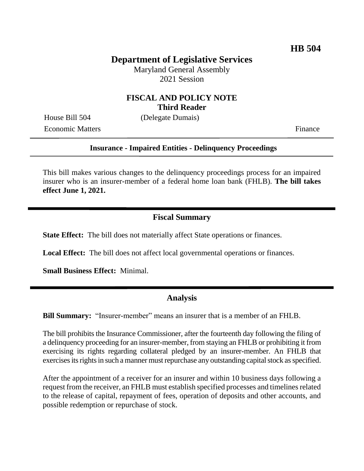# **Department of Legislative Services**

Maryland General Assembly 2021 Session

## **FISCAL AND POLICY NOTE Third Reader**

Economic Matters Finance

House Bill 504 (Delegate Dumais)

#### **Insurance - Impaired Entities - Delinquency Proceedings**

This bill makes various changes to the delinquency proceedings process for an impaired insurer who is an insurer-member of a federal home loan bank (FHLB). **The bill takes effect June 1, 2021.** 

## **Fiscal Summary**

**State Effect:** The bill does not materially affect State operations or finances.

**Local Effect:** The bill does not affect local governmental operations or finances.

**Small Business Effect:** Minimal.

#### **Analysis**

**Bill Summary:** "Insurer-member" means an insurer that is a member of an FHLB.

The bill prohibits the Insurance Commissioner, after the fourteenth day following the filing of a delinquency proceeding for an insurer-member, from staying an FHLB or prohibiting it from exercising its rights regarding collateral pledged by an insurer-member. An FHLB that exercises its rights in such a manner must repurchase any outstanding capital stock as specified.

After the appointment of a receiver for an insurer and within 10 business days following a request from the receiver, an FHLB must establish specified processes and timelines related to the release of capital, repayment of fees, operation of deposits and other accounts, and possible redemption or repurchase of stock.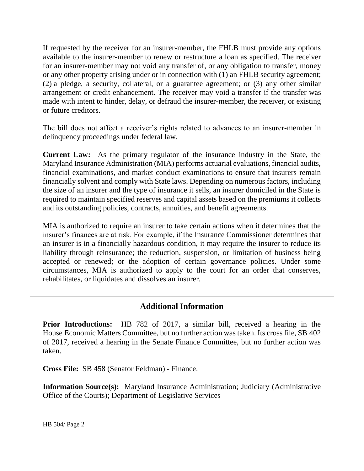If requested by the receiver for an insurer-member, the FHLB must provide any options available to the insurer-member to renew or restructure a loan as specified. The receiver for an insurer-member may not void any transfer of, or any obligation to transfer, money or any other property arising under or in connection with (1) an FHLB security agreement; (2) a pledge, a security, collateral, or a guarantee agreement; or (3) any other similar arrangement or credit enhancement. The receiver may void a transfer if the transfer was made with intent to hinder, delay, or defraud the insurer-member, the receiver, or existing or future creditors.

The bill does not affect a receiver's rights related to advances to an insurer-member in delinquency proceedings under federal law.

**Current Law:** As the primary regulator of the insurance industry in the State, the Maryland Insurance Administration (MIA) performs actuarial evaluations, financial audits, financial examinations, and market conduct examinations to ensure that insurers remain financially solvent and comply with State laws. Depending on numerous factors, including the size of an insurer and the type of insurance it sells, an insurer domiciled in the State is required to maintain specified reserves and capital assets based on the premiums it collects and its outstanding policies, contracts, annuities, and benefit agreements.

MIA is authorized to require an insurer to take certain actions when it determines that the insurer's finances are at risk. For example, if the Insurance Commissioner determines that an insurer is in a financially hazardous condition, it may require the insurer to reduce its liability through reinsurance; the reduction, suspension, or limitation of business being accepted or renewed; or the adoption of certain governance policies. Under some circumstances, MIA is authorized to apply to the court for an order that conserves, rehabilitates, or liquidates and dissolves an insurer.

# **Additional Information**

**Prior Introductions:** HB 782 of 2017, a similar bill, received a hearing in the House Economic Matters Committee, but no further action was taken. Its cross file, SB 402 of 2017, received a hearing in the Senate Finance Committee, but no further action was taken.

**Cross File:** SB 458 (Senator Feldman) - Finance.

**Information Source(s):** Maryland Insurance Administration; Judiciary (Administrative Office of the Courts); Department of Legislative Services